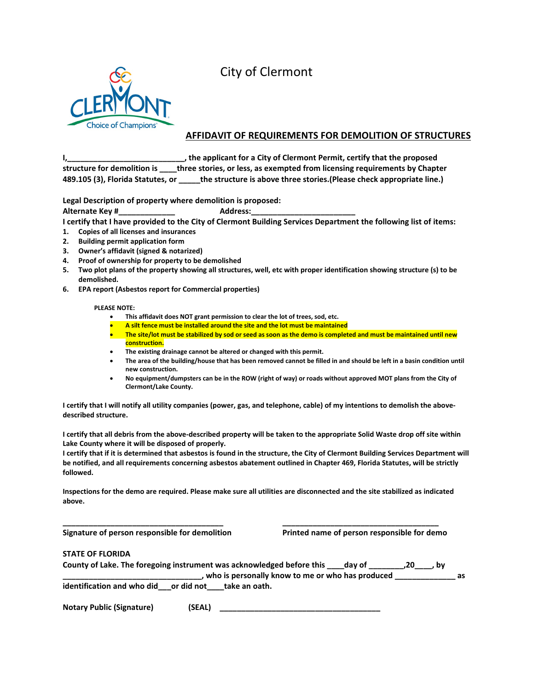## City of Clermont



#### **AFFIDAVIT OF REQUIREMENTS FOR DEMOLITION OF STRUCTURES**

**I,\_\_\_\_\_\_\_\_\_\_\_\_\_\_\_\_\_\_\_\_\_\_\_\_\_\_\_, the applicant for a City of Clermont Permit, certify that the proposed structure for demolition is \_\_\_\_three stories, or less, as exempted from licensing requirements by Chapter 489.105 (3), Florida Statutes, or \_\_\_\_\_the structure is above three stories.(Please check appropriate line.)**

**Legal Description of property where demolition is proposed:**

**Alternate Key #\_\_\_\_\_\_\_\_\_\_\_\_\_ Address:\_\_\_\_\_\_\_\_\_\_\_\_\_\_\_\_\_\_\_\_\_\_\_\_**

**I certify that I have provided to the City of Clermont Building Services Department the following list of items:**

- **1. Copies of all licenses and insurances**
- **2. Building permit application form**
- **3. Owner's affidavit (signed & notarized)**
- **4. Proof of ownership for property to be demolished**
- **5. Two plot plans of the property showing all structures, well, etc with proper identification showing structure (s) to be demolished.**
- **6. EPA report (Asbestos report for Commercial properties)**

#### **PLEASE NOTE:**

- **This affidavit does NOT grant permission to clear the lot of trees, sod, etc.**
- **A silt fence must be installed around the site and the lot must be maintained**
- **The site/lot must be stabilized by sod or seed as soon as the demo is completed and must be maintained until new construction.**
- **The existing drainage cannot be altered or changed with this permit.**
- **The area of the building/house that has been removed cannot be filled in and should be left in a basin condition until new construction.**
- **No equipment/dumpsters can be in the ROW (right of way) or roads without approved MOT plans from the City of Clermont/Lake County.**

**I certify that I will notify all utility companies (power, gas, and telephone, cable) of my intentions to demolish the abovedescribed structure.**

**I certify that all debris from the above-described property will be taken to the appropriate Solid Waste drop off site within Lake County where it will be disposed of properly.**

**I certify that if it is determined that asbestos is found in the structure, the City of Clermont Building Services Department will be notified, and all requirements concerning asbestos abatement outlined in Chapter 469, Florida Statutes, will be strictly followed.**

**Inspections for the demo are required. Please make sure all utilities are disconnected and the site stabilized as indicated above.**

**\_\_\_\_\_\_\_\_\_\_\_\_\_\_\_\_\_\_\_\_\_\_\_\_\_\_\_\_\_\_\_\_\_\_\_\_\_ \_\_\_\_\_\_\_\_\_\_\_\_\_\_\_\_\_\_\_\_\_\_\_\_\_\_\_\_\_\_\_\_\_\_\_\_**

**Signature of person responsible for demolition Printed name of person responsible for demo**

#### **STATE OF FLORIDA**

| County of Lake. The foregoing instrument was acknowledged before this<br>$\cdot$ day of<br>. bv |    |
|-------------------------------------------------------------------------------------------------|----|
| , who is personally know to me or who has produced                                              | as |
| identification and who did or did not<br>take an oath.                                          |    |

**Notary Public (Signature) (SEAL) \_\_\_\_\_\_\_\_\_\_\_\_\_\_\_\_\_\_\_\_\_\_\_\_\_\_\_\_\_\_\_\_\_\_\_\_\_**